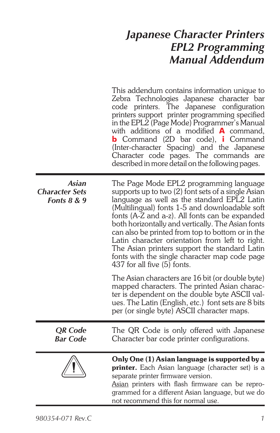# *Japanese Character Printers EPL2 Programming Manual Addendum*

This addendum contains information unique to Zebra Technologies Japanese character bar code printers. The Japanese configuration printers support printer programming specified in the EPL2 (Page Mode) Programmer's Manual with additions of a modified **A** command, **b** Command (2D bar code), **i** Command (Inter-character Spacing) and the Japanese Character code pages. The commands are described in more detail on the following pages.

| Asian<br><b>Character Sets</b><br>Fonts $8 & 9$ | The Page Mode EPL2 programming language<br>supports up to two (2) font sets of a single Asian<br>language as well as the standard EPL2 Latin<br>(Multilingual) fonts 1-5 and downloadable soft<br>fonts (A-Z and a-z). All fonts can be expanded<br>both horizontally and vertically. The Asian fonts<br>can also be printed from top to bottom or in the<br>Latin character orientation from left to right.<br>The Asian printers support the standard Latin<br>fonts with the single character map code page<br>437 for all five (5) fonts. |
|-------------------------------------------------|-----------------------------------------------------------------------------------------------------------------------------------------------------------------------------------------------------------------------------------------------------------------------------------------------------------------------------------------------------------------------------------------------------------------------------------------------------------------------------------------------------------------------------------------------|
|                                                 | The Asian characters are 16 bit (or double byte)<br>mapped characters. The printed Asian charac-<br>ter is dependent on the double byte ASCII val-<br>ues. The Latin (English, etc.) font sets are 8 bits<br>per (or single byte) ASCII character maps.                                                                                                                                                                                                                                                                                       |
| <b>QR</b> Code<br>Bar Code                      | The QR Code is only offered with Japanese<br>Character bar code printer configurations.                                                                                                                                                                                                                                                                                                                                                                                                                                                       |
|                                                 | Only One (1) Asian language is supported by a<br>printer. Each Asian language (character set) is a<br>separate printer firmware version.<br>Asian printers with flash firmware can be repro-<br>grammed for a different Asian language, but we do<br>not recommend this for normal use.                                                                                                                                                                                                                                                       |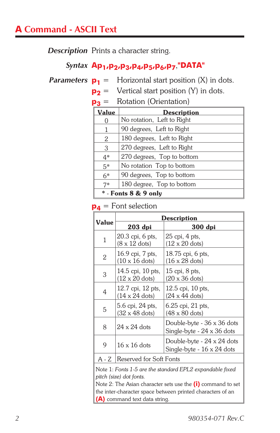*Description* Prints a character string.

### *Syntax* **Ap1,p2,p3,p4,p5,p6,p7**,**"DATA"**

*Parameters*  $p_1$  = Horizontal start position (X) in dots.

 $p_2$  = Vertical start position (Y) in dots.

**p<sub>3</sub>** = Rotation (Orientation)

| Value                | <b>Description</b>         |  |  |  |  |  |  |
|----------------------|----------------------------|--|--|--|--|--|--|
|                      | No rotation, Left to Right |  |  |  |  |  |  |
| 1                    | 90 degrees, Left to Right  |  |  |  |  |  |  |
| 2                    | 180 degrees, Left to Right |  |  |  |  |  |  |
| 3                    | 270 degrees, Left to Right |  |  |  |  |  |  |
| $4*$                 | 270 degrees, Top to bottom |  |  |  |  |  |  |
| $5*$                 | No rotation Top to bottom  |  |  |  |  |  |  |
| $6*$                 | 90 degrees, Top to bottom  |  |  |  |  |  |  |
| $7*$                 | 180 degree, Top to bottom  |  |  |  |  |  |  |
| * - Fonts 8 & 9 only |                            |  |  |  |  |  |  |

#### **p4** = Font selection

|       | Description                                        |                                                          |  |  |  |  |  |  |
|-------|----------------------------------------------------|----------------------------------------------------------|--|--|--|--|--|--|
| Value | 203 dpi                                            | 300 dpi                                                  |  |  |  |  |  |  |
| 1     | 20.3 cpi, 6 pts,<br>$(8 \times 12$ dots)           | 25 cpi, 4 pts,<br>$(12 \times 20 \text{ dots})$          |  |  |  |  |  |  |
| 2     | 16.9 cpi, 7 pts,<br>$(10 \times 16$ dots)          | 18.75 cpi, 6 pts,<br>$(16 \times 28$ dots)               |  |  |  |  |  |  |
| 3     | 14.5 cpi, 10 pts,<br>$(12 \times 20$ dots)         | $15$ cpi, $8$ pts,<br>$(20 \times 36 \text{ dots})$      |  |  |  |  |  |  |
| 4     | 12.7 cpi, 12 pts,<br>$(14 \times 24 \text{ dots})$ | $12.5$ cpi, $10$ pts,<br>$(24 \times 44 \text{ dots})$   |  |  |  |  |  |  |
| 5     | 5.6 cpi, 24 pts,<br>$(32 \times 48 \text{ dots})$  | $6.25$ cpi, $21$ pts,<br>(48 x 80 dots)                  |  |  |  |  |  |  |
| 8     | $24 \times 24$ dots                                | Double-byte - 36 x 36 dots<br>Single-byte - 24 x 36 dots |  |  |  |  |  |  |
| 9     | $16 \times 16$ dots                                | Double-byte - 24 x 24 dots<br>Single-byte - 16 x 24 dots |  |  |  |  |  |  |
| A - Z | Reserved for Soft Fonts                            |                                                          |  |  |  |  |  |  |

Note 1: *Fonts 1-5 are the standard EPL2 expandable fixed pitch (size) dot fonts.*

Note 2: The Asian character sets use the **(i)** command to set the inter-character space between printed characters of an **(A)** command text data string.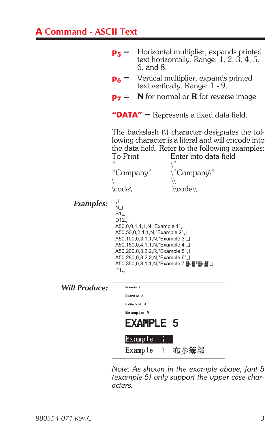# **A Command - ASCII Text**



*Note: As shown in the example above, font 5 (example 5) only support the upper case characters.*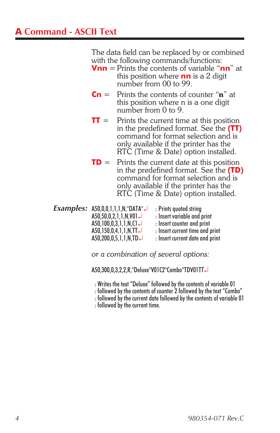The data field can be replaced by or combined with the following commands/functions:

- **Vnn** = Prints the contents of variable "**nn**" at this position where **nn** is a 2 digit number from 00 to 99.
- **Cn** = Prints the contents of counter "n" at this position where n is a one digit number from 0 to 9.
- **TT** = Prints the current time at this position in the predefined format. See the **(TT)** command for format selection and is only available if the printer has the RTC (Time & Date) option installed.
- **TD** = Prints the current date at this position in the predefined format. See the **(TD)** command for format selection and is only available if the printer has the RTC (Time & Date) option installed.
- *Examples:* A50,0,0,1,1,1,N,"DATA". : Prints quoted string A50,50,0,2,1,1,N,V01 : Insert variable and print  $A50,100,0,3,1,1,N, C1 \rightarrow$  : Insert counter and print A50,150,0,4,1,1,N,TT : Insert current time and print : Insert current date and print

*or a combination of several options:*

A50,300,0,3,2,2,R,"Deluxe"V01C2"Combo"TDV01TT

- : Writes the text "Deluxe" followed by the contents of variable 01
- : followed by the contents of counter 2 followed by the text "Combo"
- : followed by the current date followed by the contents of variable 01

: followed by the current time.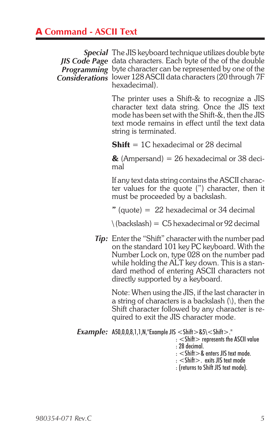# **A Command - ASCII Text**

*Special* The JIS keyboard technique utilizes double byte *JIS Code Page* data characters. Each byte of the of the double *Programming* byte character can be represented by one of the *Considerations* lower 128 ASCII data characters (20 through 7F hexadecimal).

> The printer uses a Shift-& to recognize a JIS character text data string. Once the JIS text mode has been set with the Shift-&, then the JIS text mode remains in effect until the text data string is terminated.

**Shift** = 1C hexadecimal or 28 decimal

 $\&$  (Ampersand) = 26 hexadecimal or 38 decimal

If any text data string contains the ASCII character values for the quote (") character, then it must be proceeded by a backslash.

 $"$  (quote) = 22 hexadecimal or 34 decimal

 $\langle$  (backslash) = C5 hexadecimal or 92 decimal

*Tip:* Enter the "Shift" character with the number pad on the standard 101 key PC keyboard. With the Number Lock on, type 028 on the number pad while holding the ALT key down. This is a standard method of entering ASCII characters not directly supported by a keyboard.

Note: When using the JIS, if the last character in a string of characters is a backslash  $\langle \cdot \rangle$ , then the Shift character followed by any character is required to exit the JIS character mode.

*Example:* A50,0,0,8,1,1,N,"Example JIS  $\langle$  Shift $>$ &5\ $\langle$ Shift $>$ ." : < Shift> represents the ASCII value : 28 decimal. : <Shift>& enters JIS text mode. : <Shift>. exits JIS text mode : (returns to Shift JIS text mode).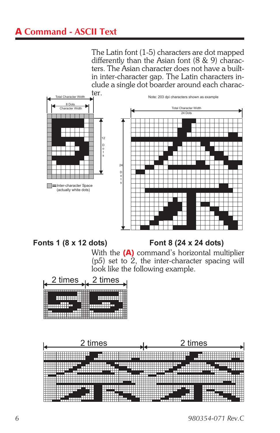# **A Command - ASCII Text**

The Latin font (1-5) characters are dot mapped differently than the Asian font (8 & 9) characters. The Asian character does not have a builtin inter-character gap. The Latin characters include a single dot boarder around each charac-



#### **Fonts 1 (8 x 12 dots) Font 8 (24 x 24 dots)**

With the **(A)** command's horizontal multiplier (p*5*) set to 2, the inter-character spacing will look like the following example.



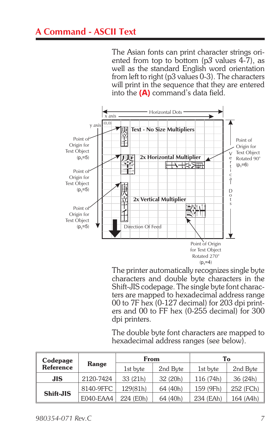The Asian fonts can print character strings oriented from top to bottom (p*3* values 4-7), as well as the standard English word orientation from left to right (p3 values 0-3). The characters will print in the sequence that they are entered into the **(A)** command's data field.



The printer automatically recognizes single byte characters and double byte characters in the Shift-JIS codepage. The single byte font characters are mapped to hexadecimal address range 00 to 7F hex (0-127 decimal) for 203 dpi printers and 00 to FF hex (0-255 decimal) for 300 dpi printers.

The double byte font characters are mapped to hexadecimal address ranges (see below).

| Codepage         |           | From      |          | To        |           |  |  |
|------------------|-----------|-----------|----------|-----------|-----------|--|--|
| <b>Reference</b> | Range     | 1st byte  | 2nd Byte | 1st byte  | 2nd Byte  |  |  |
| <b>JIS</b>       | 2120-7424 | 33 (21h)  | 32(20h)  | 116 (74h) | 36 (24h)  |  |  |
| Shift-JIS        | 8140-9FFC | 129(81h)  | 64 (40h) | 159 (9Fh) | 252 (FCh) |  |  |
|                  | E040-EAA4 | 224 (E0h) | 64 (40h) | 234 (EAh) | 164 (A4h) |  |  |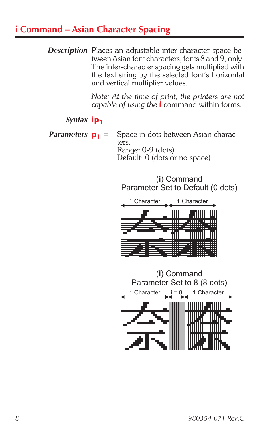# **i Command – Asian Character Spacing**

*Description* Places an adjustable inter-character space between Asian font characters, fonts 8 and 9, only. The inter-character spacing gets multiplied with the text string by the selected font's horizontal and vertical multiplier values.

> *Note: At the time of print, the printers are not capable of using the* **i** command within forms.

### *Syntax* **ip<sub>1</sub>**

*Parameters*  $p_1$  = Space in dots between Asian characters. Range: 0-9 (dots) Default: 0 (dots or no space)

> (i) Command Parameter Set to Default (0 dots)



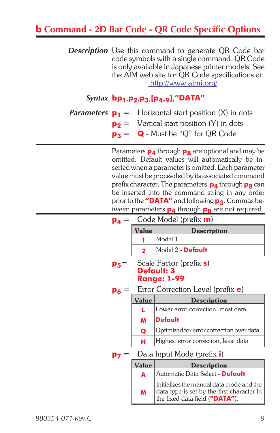# **b Command - 2D Bar Code - QR Code Specific Options**

**Description** Use this command to generate QR Code bar code symbols with a single command. QR Code is only available in Japanese printer models. See the AIM web site for QR Code specifications at: <http://www.aimi.org/>

### *Syntax* **bp1**,**p2**,**p3**,**[p4-9]**,**"DATA"**

*Parameters*  $p_1$  = Horizontal start position  $(X)$  in dots

- **p<sub>2</sub>** = Vertical start position (Y) in dots
- $p_3 = Q$  Must be "Q" for QR Code

Parameters **p<sub>4</sub>** through **p<sub>8</sub>** are optional and may be omitted. Default values will automatically be inserted when a parameter is omitted. Each parameter value must be proceeded by its associated command prefix character. The parameters **p4** through **p8** can be inserted into the command string in any order prior to the **"DATA"** and following  $p_3$ . Commas between parameters **p**<sub>4</sub> through **p<sub>8</sub>** are not required.

| $\mathsf{p}_4 =$ | Code Model (prefix m)                       |                                                                                                                          |  |  |  |  |  |  |  |
|------------------|---------------------------------------------|--------------------------------------------------------------------------------------------------------------------------|--|--|--|--|--|--|--|
|                  | Value                                       | <b>Description</b>                                                                                                       |  |  |  |  |  |  |  |
|                  |                                             | Model 1                                                                                                                  |  |  |  |  |  |  |  |
|                  | 2                                           | Model 2 - <b>Default</b>                                                                                                 |  |  |  |  |  |  |  |
| $p_5=$           |                                             | Scale Factor (prefix <b>s</b> )<br>Default: 3<br><b>Range: 1-99</b>                                                      |  |  |  |  |  |  |  |
| P6               |                                             | Error Correction Level (prefix <b>e</b> )                                                                                |  |  |  |  |  |  |  |
|                  | Value                                       | <b>Description</b>                                                                                                       |  |  |  |  |  |  |  |
|                  |                                             | Lower error correction, most data                                                                                        |  |  |  |  |  |  |  |
|                  | M                                           | <b>Default</b>                                                                                                           |  |  |  |  |  |  |  |
|                  | Q                                           | Optimized for error correction over data                                                                                 |  |  |  |  |  |  |  |
|                  | н                                           | Highest error correction, least data                                                                                     |  |  |  |  |  |  |  |
| P7               |                                             | Data Input Mode (prefix <i>i</i> )                                                                                       |  |  |  |  |  |  |  |
|                  | Value                                       | <b>Description</b>                                                                                                       |  |  |  |  |  |  |  |
|                  | Automatic Data Select - <b>Default</b><br>A |                                                                                                                          |  |  |  |  |  |  |  |
|                  | M                                           | Initializes the manual data mode and the<br>data type is set by the first character in<br>the fixed data field ("DATA"). |  |  |  |  |  |  |  |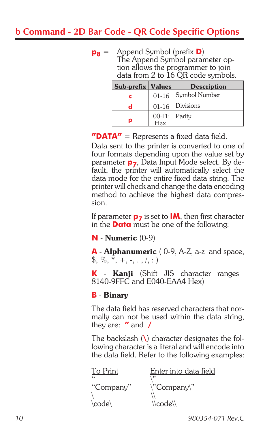# **b Command - 2D Bar Code - QR Code Specific Options**

**p8** = Append Symbol (prefix **D**) The Append Symbol parameter option allows the programmer to join data from 2 to 16 QR code symbols.

| <b>Sub-prefix Values</b> |                        | <b>Description</b>    |
|--------------------------|------------------------|-----------------------|
| c                        |                        | 01-16   Symbol Number |
| d                        |                        | $01-16$ Divisions     |
| p                        | 00-FF   Parity<br>Hex. |                       |

**"DATA"** = Represents a fixed data field.

Data sent to the printer is converted to one of four formats depending upon the value set by parameter **p<sub>7</sub>**, Data Input Mode select. By default, the printer will automatically select the data mode for the entire fixed data string. The printer will check and change the data encoding method to achieve the highest data compression.

If parameter  $p_7$  is set to **IM**, then first character in the **Data** must be one of the following:

#### **N** - Numeric (0-9)

**A** - Alphanumeric ( 0-9, A-Z, a-z and space,  $\frac{1}{2}, \frac{1}{2}, \frac{1}{2}, \frac{1}{2}, \ldots, \frac{1}{2}$ 

**K** - Kanji (Shift JIS character ranges 8140-9FFC and E040-EAA4 Hex)

#### **B** - Binary

The data field has reserved characters that normally can not be used within the data string, they are: **"** and **/**

The backslash (**\**) character designates the following character is a literal and will encode into the data field. Refer to the following examples:

| To Print   | Enter into data field                        |
|------------|----------------------------------------------|
| $\epsilon$ | رو ۱                                         |
| "Company"  | $\Upsilon$ <sup>"</sup> Company $\Upsilon$ " |
|            |                                              |
| \code\     | $\setminus$ code $\setminus$                 |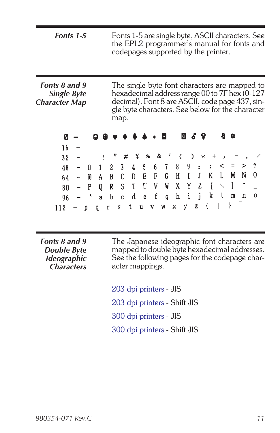| Fonts 1-5 | Fonts 1-5 are single byte, ASCII characters. See<br>the EPL2 programmer's manual for fonts and<br>codepages supported by the printer. |
|-----------|---------------------------------------------------------------------------------------------------------------------------------------|
|           |                                                                                                                                       |
|           |                                                                                                                                       |

*Fonts 8 and 9 Single Byte Character Map* The single byte font characters are mapped to hexadecimal address range 00 to 7F hex (0-127 decimal). Font 8 are ASCII, code page 437, single byte characters. See below for the character map.

| $16 -$                                              |  |  |  |  |  |  |                                        |  |  |
|-----------------------------------------------------|--|--|--|--|--|--|----------------------------------------|--|--|
|                                                     |  |  |  |  |  |  | $32 - 1$ " # $4$ % & ' ( ) * + , - . / |  |  |
|                                                     |  |  |  |  |  |  | $48 - 0$ 1 2 3 4 5 6 7 8 9 : ; < = > ? |  |  |
|                                                     |  |  |  |  |  |  | $64$ - @ A B C D E F G H I J K L M N O |  |  |
| $80$ – P Q R S T U V W X Y Z [ $\smallsetminus$ ] ^ |  |  |  |  |  |  |                                        |  |  |
| 96 – `abc de f ghi j k l m n o                      |  |  |  |  |  |  |                                        |  |  |
| 112 - p q r s t u v w x y z {   }                   |  |  |  |  |  |  |                                        |  |  |

*Fonts 8 and 9 Double Byte Ideographic Characters* The Japanese ideographic font characters are mapped to double byte hexadecimal addresses. See the following pages for the codepage character mappings.

203 dpi printers - JIS 203 dpi printers - Shift JIS 300 dpi printers - JIS 300 dpi printers - Shift JIS